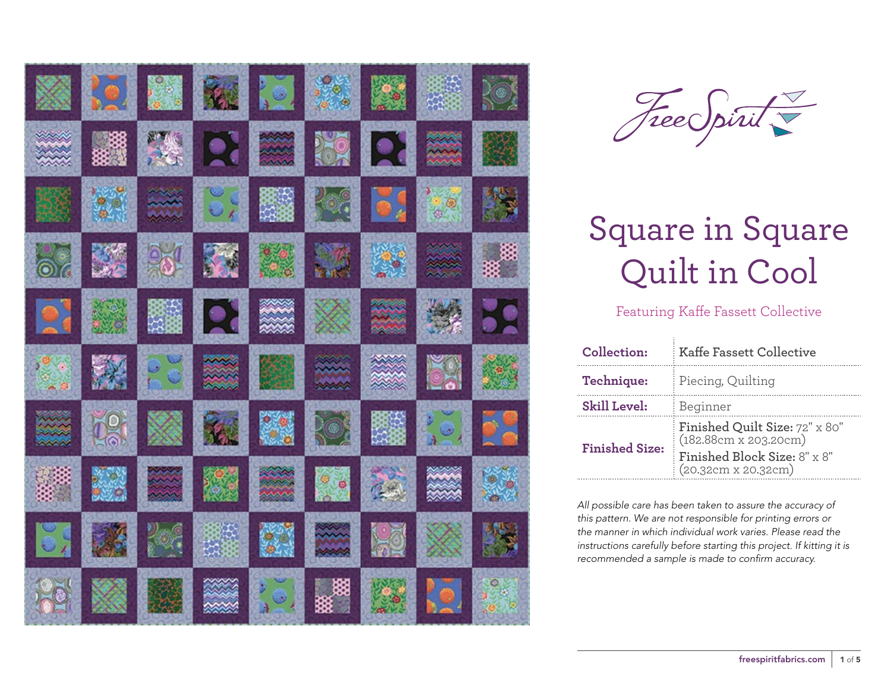| X       |      |                | <b>KING M</b>  |                  |              |              |               | $2$ o      |
|---------|------|----------------|----------------|------------------|--------------|--------------|---------------|------------|
|         |      | 深              | $\mathbf{R}$   | <b>ANANA</b>     | <b>NE RE</b> |              |               |            |
|         |      | $\mathbb{R}^2$ | $\overline{O}$ | <b>BAR</b>       |              | B            |               | <b>SER</b> |
| $\circ$ |      | 95             |                |                  | <b>ANGEL</b> |              |               | 数数         |
| 19      |      | に<br>医の<br>医の  | <b>Pi</b>      |                  |              | <b>RANAR</b> |               | 59         |
|         |      | 55             | 淡淡             |                  |              |              |               |            |
|         | Le s | X              | 家              |                  | R®)          | 題演           | $\frac{1}{2}$ | <b>DR</b>  |
|         | 美学   | 1111           | $\frac{1}{2}$  |                  |              | $\tilde{a}$  |               |            |
| $\log$  |      |                |                |                  |              | <b>SC</b>    |               |            |
|         |      |                |                | $\sum_{k=1}^{n}$ | ▩៓           |              | <u>I, aj</u>  |            |



### Featuring Kaffe Fassett Collective

| Collection:           | <b>Kaffe Fassett Collective</b>                         |  |  |  |
|-----------------------|---------------------------------------------------------|--|--|--|
| Technique:            | Piecing, Quilting                                       |  |  |  |
| <b>Skill Level:</b>   | Beginner                                                |  |  |  |
| <b>Finished Size:</b> | Finished Quilt Size: 72" x 80"<br>(182.88cm x 203.20cm) |  |  |  |
|                       | Finished Block Size: 8" x 8"<br>(20.32cm x 20.32cm)     |  |  |  |

*All possible care has been taken to assure the accuracy of this pattern. We are not responsible for printing errors or the manner in which individual work varies. Please read the instructions carefully before starting this project. If kitting it is recommended a sample is made to confirm accuracy.*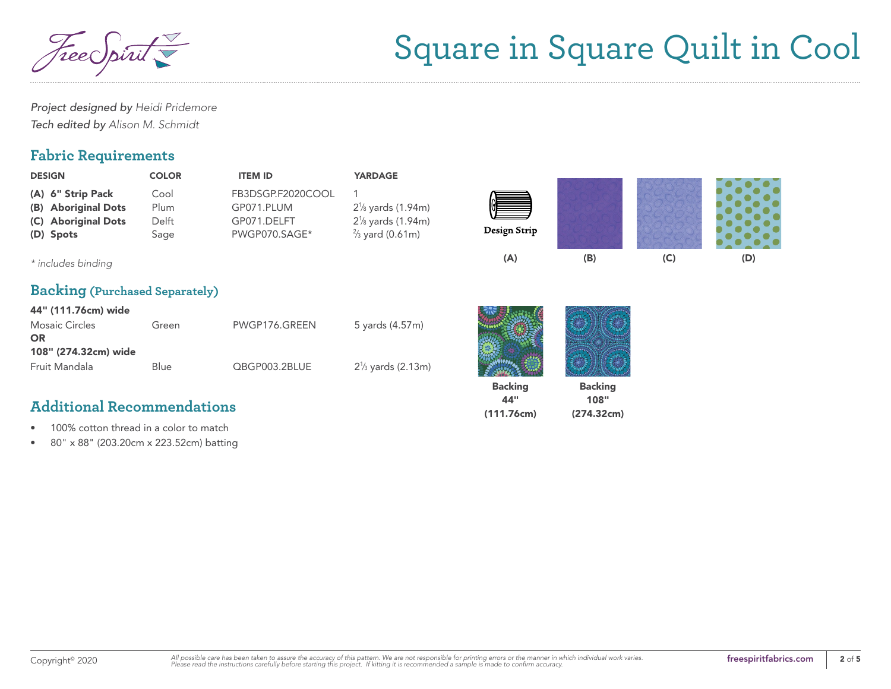Free Spirit

*Project designed by Heidi Pridemore Tech edited by Alison M. Schmidt*

### **Fabric Requirements**

| <b>DESIGN</b>                                                                | <b>COLOR</b>                  | <b>ITEM ID</b>                                                  | <b>YARDAGE</b>                                                                                            |                                     |                                      |     |     |
|------------------------------------------------------------------------------|-------------------------------|-----------------------------------------------------------------|-----------------------------------------------------------------------------------------------------------|-------------------------------------|--------------------------------------|-----|-----|
| (A) 6" Strip Pack<br>(B) Aboriginal Dots<br>(C) Aboriginal Dots<br>(D) Spots | Cool<br>Plum<br>Delft<br>Sage | FB3DSGP.F2020COOL<br>GP071.PLUM<br>GP071.DELFT<br>PWGP070.SAGE* | $2\frac{1}{8}$ yards (1.94m)<br>2 <sup>1</sup> / <sub>8</sub> yards (1.94m)<br>$\frac{2}{3}$ yard (0.61m) | Design Strip                        |                                      |     |     |
| * includes binding                                                           |                               |                                                                 |                                                                                                           | (A)                                 | (B)                                  | (C) | (D) |
| <b>Backing (Purchased Separately)</b>                                        |                               |                                                                 |                                                                                                           |                                     |                                      |     |     |
| 44" (111.76cm) wide                                                          |                               |                                                                 |                                                                                                           |                                     |                                      |     |     |
| <b>Mosaic Circles</b><br><b>OR</b>                                           | Green                         | PWGP176.GREEN                                                   | 5 yards (4.57m)                                                                                           |                                     |                                      |     |     |
| 108" (274.32cm) wide                                                         |                               |                                                                 |                                                                                                           |                                     |                                      |     |     |
| Fruit Mandala                                                                | <b>Blue</b>                   | QBGP003.2BLUE                                                   | $2\frac{1}{3}$ yards (2.13m)                                                                              |                                     |                                      |     |     |
| <b>Additional Recommendations</b>                                            |                               |                                                                 |                                                                                                           | <b>Backing</b><br>44"<br>(111.76cm) | <b>Backing</b><br>108"<br>(274.32cm) |     |     |

- 100% cotton thread in a color to match
- 80" x 88" (203.20cm x 223.52cm) batting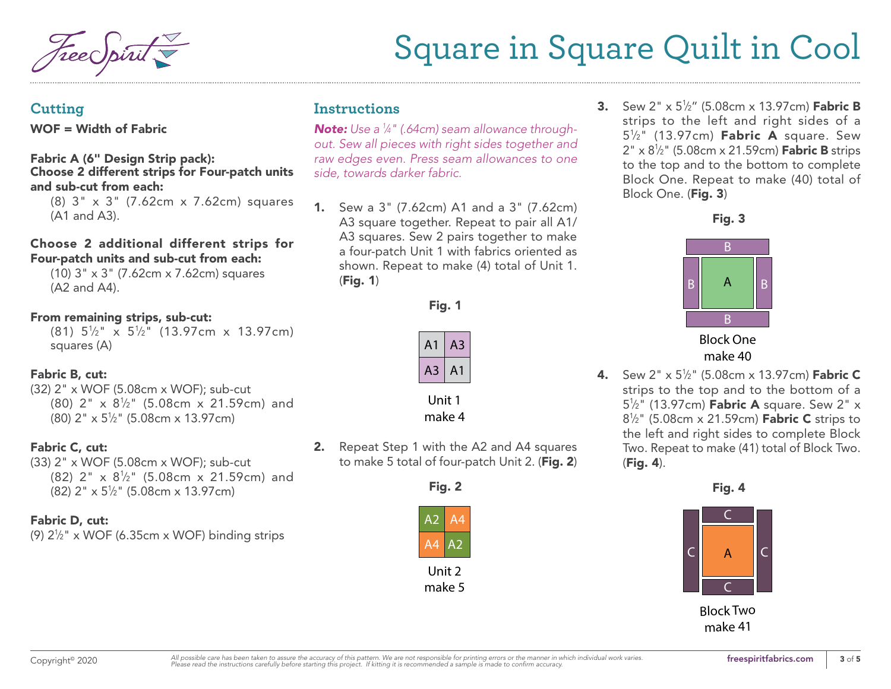#### **Cutting**

WOF = Width of Fabric

#### Fabric A (6" Design Strip pack): Choose 2 different strips for Four-patch units and sub-cut from each:

(8) 3" x 3" (7.62cm x 7.62cm) squares (A1 and A3).

#### Choose 2 additional different strips for Four-patch units and sub-cut from each:

(10) 3" x 3" (7.62cm x 7.62cm) squares (A2 and A4).

#### From remaining strips, sub-cut:

 $(81)$   $5\frac{1}{2}$ "  $\times$   $5\frac{1}{2}$ "  $(13.97cm)$   $\times$  13.97cm) squares (A)

#### Fabric B, cut:

(32) 2" x WOF (5.08cm x WOF); sub-cut  $(80)$  2" x  $8\frac{1}{2}$ " (5.08cm x 21.59cm) and (80) 2" x 51 ⁄2" (5.08cm x 13.97cm)

#### Fabric C, cut:

(33) 2" x WOF (5.08cm x WOF); sub-cut  $(82)$  2" x  $8\frac{1}{2}$ " (5.08cm x 21.59cm) and (82) 2" x 51 ⁄2" (5.08cm x 13.97cm)

#### Fabric D, cut:

(9) 21 ⁄2" x WOF (6.35cm x WOF) binding strips

### **Instructions**

*Note: Use a 1 ⁄4" (.64cm) seam allowance throughout. Sew all pieces with right sides together and raw edges even. Press seam allowances to one side, towards darker fabric.*

1. Sew a 3" (7.62cm) A1 and a 3" (7.62cm) A3 square together. Repeat to pair all A1/ A3 squares. Sew 2 pairs together to make a four-patch Unit 1 with fabrics oriented as shown. Repeat to make (4) total of Unit 1. (Fig. 1)





Unit 1 make 4

2. Repeat Step 1 with the A2 and A4 squares to make 5 total of four-patch Unit 2. (Fig. 2)



**3.** Sew 2" x 5½" (5.08cm x 13.97cm) **Fabric B** strips to the left and right sides of a 5<sup>1</sup>/<sub>2</sub>" (13.97cm) **Fabric A** square. Sew 2" x 8½" (5.08cm x 21.59cm) **Fabric B** strips to the top and to the bottom to complete Block One. Repeat to make (40) total of Block One. (Fig. 3)





make 40

**4.** Sew 2" x 5½" (5.08cm x 13.97cm) **Fabric C** strips to the top and to the bottom of a 5<sup>1</sup>/<sub>2</sub>" (13.97cm) **Fabric A** square. Sew 2" x 8½" (5.08cm x 21.59cm) **Fabric C** strips to the left and right sides to complete Block Two. Repeat to make (41) total of Block Two. (Fig. 4).

Fig. 4 Fig. 4



Block Two make 41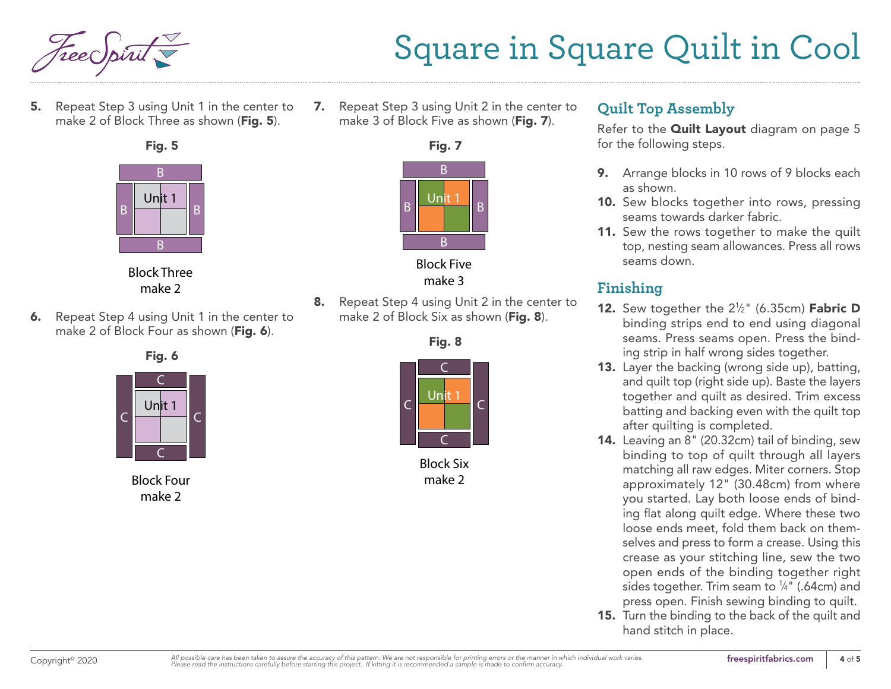

5. Repeat Step 3 using Unit 1 in the center to make 2 of Block Three as shown (Fig. 5).





Block Three make 2

6. Repeat Step 4 using Unit 1 in the center to make 2 of Block Four as shown (Fig. 6).



Block Four make 2

7. Repeat Step 3 using Unit 2 in the center to make 3 of Block Five as shown (Fig. 7).



Block Five make 3

8. Repeat Step 4 using Unit 2 in the center to make 2 of Block Six as shown (Fig. 8).



Block Six make 2

### **Quilt Top Assembly**

Refer to the **Quilt Layout** diagram on page 5 for the following steps.

- 9. Arrange blocks in 10 rows of 9 blocks each as shown.
- 10. Sew blocks together into rows, pressing seams towards darker fabric.
- 11. Sew the rows together to make the quilt top, nesting seam allowances. Press all rows seams down.

### **Finishing**

- **12.** Sew together the  $2\frac{1}{2}$ " (6.35cm) **Fabric D** binding strips end to end using diagonal seams. Press seams open. Press the binding strip in half wrong sides together.
- 13. Layer the backing (wrong side up), batting, and quilt top (right side up). Baste the layers together and quilt as desired. Trim excess batting and backing even with the quilt top after quilting is completed.
- 14. Leaving an 8" (20.32cm) tail of binding, sew binding to top of quilt through all layers matching all raw edges. Miter corners. Stop approximately 12" (30.48cm) from where you started. Lay both loose ends of binding flat along quilt edge. Where these two loose ends meet, fold them back on themselves and press to form a crease. Using this crease as your stitching line, sew the two open ends of the binding together right sides together. Trim seam to  $\frac{1}{4}$ " (.64cm) and press open. Finish sewing binding to quilt.
- 15. Turn the binding to the back of the quilt and hand stitch in place.